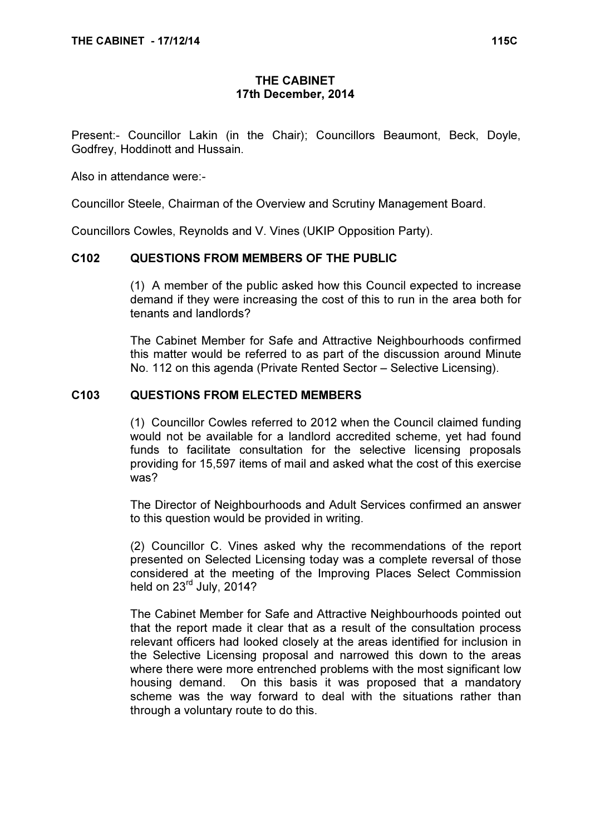# THE CABINET 17th December, 2014

Present:- Councillor Lakin (in the Chair); Councillors Beaumont, Beck, Doyle, Godfrey, Hoddinott and Hussain.

Also in attendance were:-

Councillor Steele, Chairman of the Overview and Scrutiny Management Board.

Councillors Cowles, Reynolds and V. Vines (UKIP Opposition Party).

### C102 QUESTIONS FROM MEMBERS OF THE PUBLIC

 (1) A member of the public asked how this Council expected to increase demand if they were increasing the cost of this to run in the area both for tenants and landlords?

The Cabinet Member for Safe and Attractive Neighbourhoods confirmed this matter would be referred to as part of the discussion around Minute No. 112 on this agenda (Private Rented Sector – Selective Licensing).

#### C103 QUESTIONS FROM ELECTED MEMBERS

 (1) Councillor Cowles referred to 2012 when the Council claimed funding would not be available for a landlord accredited scheme, yet had found funds to facilitate consultation for the selective licensing proposals providing for 15,597 items of mail and asked what the cost of this exercise was?

The Director of Neighbourhoods and Adult Services confirmed an answer to this question would be provided in writing.

(2) Councillor C. Vines asked why the recommendations of the report presented on Selected Licensing today was a complete reversal of those considered at the meeting of the Improving Places Select Commission held on  $23^{\text{rd}}$  July,  $2014?$ 

The Cabinet Member for Safe and Attractive Neighbourhoods pointed out that the report made it clear that as a result of the consultation process relevant officers had looked closely at the areas identified for inclusion in the Selective Licensing proposal and narrowed this down to the areas where there were more entrenched problems with the most significant low housing demand. On this basis it was proposed that a mandatory scheme was the way forward to deal with the situations rather than through a voluntary route to do this.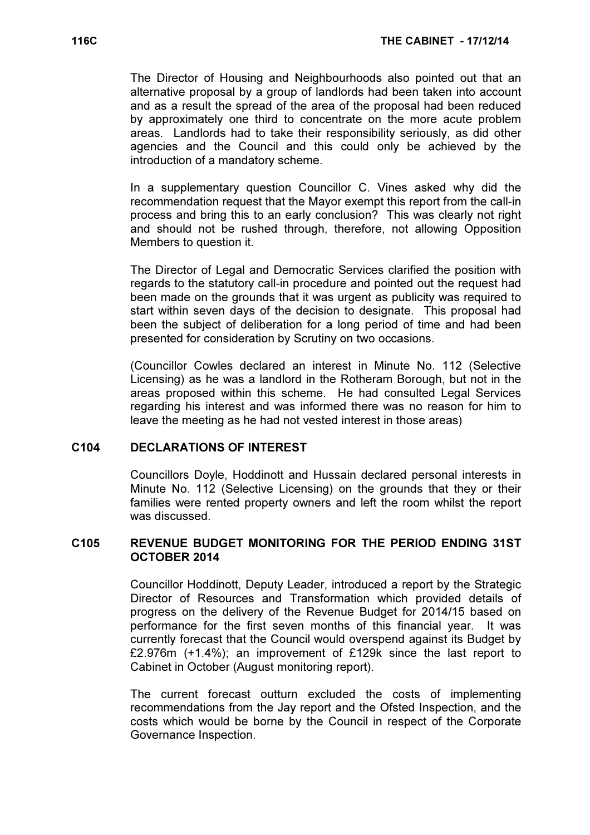The Director of Housing and Neighbourhoods also pointed out that an alternative proposal by a group of landlords had been taken into account and as a result the spread of the area of the proposal had been reduced by approximately one third to concentrate on the more acute problem areas. Landlords had to take their responsibility seriously, as did other agencies and the Council and this could only be achieved by the introduction of a mandatory scheme.

In a supplementary question Councillor C. Vines asked why did the recommendation request that the Mayor exempt this report from the call-in process and bring this to an early conclusion? This was clearly not right and should not be rushed through, therefore, not allowing Opposition Members to question it.

The Director of Legal and Democratic Services clarified the position with regards to the statutory call-in procedure and pointed out the request had been made on the grounds that it was urgent as publicity was required to start within seven days of the decision to designate. This proposal had been the subject of deliberation for a long period of time and had been presented for consideration by Scrutiny on two occasions.

(Councillor Cowles declared an interest in Minute No. 112 (Selective Licensing) as he was a landlord in the Rotheram Borough, but not in the areas proposed within this scheme. He had consulted Legal Services regarding his interest and was informed there was no reason for him to leave the meeting as he had not vested interest in those areas)

#### C104 DECLARATIONS OF INTEREST

 Councillors Doyle, Hoddinott and Hussain declared personal interests in Minute No. 112 (Selective Licensing) on the grounds that they or their families were rented property owners and left the room whilst the report was discussed.

### C105 REVENUE BUDGET MONITORING FOR THE PERIOD ENDING 31ST OCTOBER 2014

 Councillor Hoddinott, Deputy Leader, introduced a report by the Strategic Director of Resources and Transformation which provided details of progress on the delivery of the Revenue Budget for 2014/15 based on performance for the first seven months of this financial year. It was currently forecast that the Council would overspend against its Budget by £2.976m (+1.4%); an improvement of £129k since the last report to Cabinet in October (August monitoring report).

The current forecast outturn excluded the costs of implementing recommendations from the Jay report and the Ofsted Inspection, and the costs which would be borne by the Council in respect of the Corporate Governance Inspection.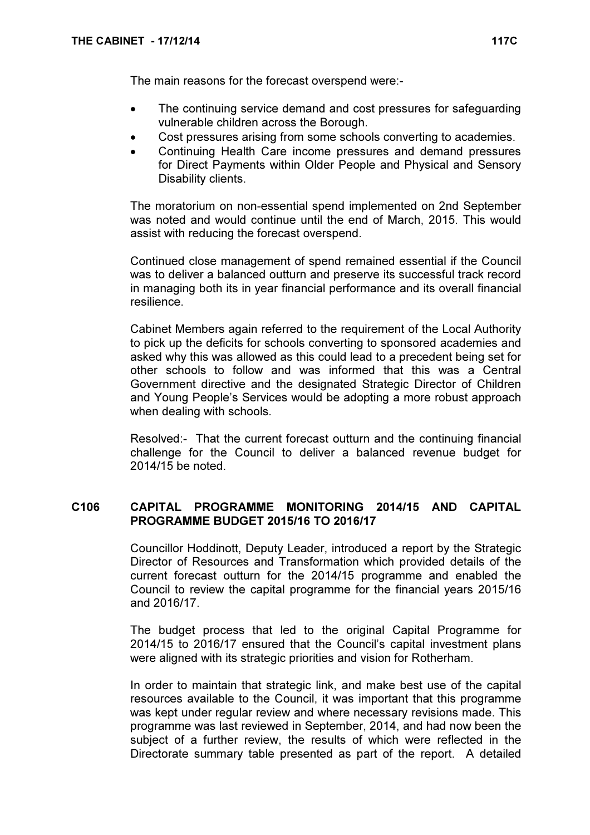The main reasons for the forecast overspend were:-

- The continuing service demand and cost pressures for safeguarding vulnerable children across the Borough.
- Cost pressures arising from some schools converting to academies.
- Continuing Health Care income pressures and demand pressures for Direct Payments within Older People and Physical and Sensory Disability clients.

The moratorium on non-essential spend implemented on 2nd September was noted and would continue until the end of March, 2015. This would assist with reducing the forecast overspend.

Continued close management of spend remained essential if the Council was to deliver a balanced outturn and preserve its successful track record in managing both its in year financial performance and its overall financial resilience.

Cabinet Members again referred to the requirement of the Local Authority to pick up the deficits for schools converting to sponsored academies and asked why this was allowed as this could lead to a precedent being set for other schools to follow and was informed that this was a Central Government directive and the designated Strategic Director of Children and Young People's Services would be adopting a more robust approach when dealing with schools.

Resolved:- That the current forecast outturn and the continuing financial challenge for the Council to deliver a balanced revenue budget for 2014/15 be noted.

# C106 CAPITAL PROGRAMME MONITORING 2014/15 AND CAPITAL PROGRAMME BUDGET 2015/16 TO 2016/17

 Councillor Hoddinott, Deputy Leader, introduced a report by the Strategic Director of Resources and Transformation which provided details of the current forecast outturn for the 2014/15 programme and enabled the Council to review the capital programme for the financial years 2015/16 and 2016/17.

The budget process that led to the original Capital Programme for 2014/15 to 2016/17 ensured that the Council's capital investment plans were aligned with its strategic priorities and vision for Rotherham.

In order to maintain that strategic link, and make best use of the capital resources available to the Council, it was important that this programme was kept under regular review and where necessary revisions made. This programme was last reviewed in September, 2014, and had now been the subject of a further review, the results of which were reflected in the Directorate summary table presented as part of the report. A detailed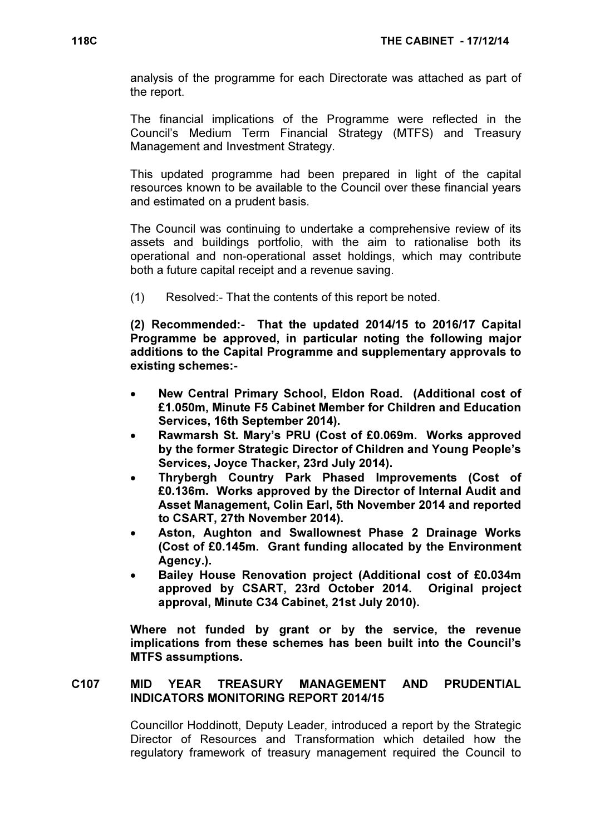analysis of the programme for each Directorate was attached as part of the report.

The financial implications of the Programme were reflected in the Council's Medium Term Financial Strategy (MTFS) and Treasury Management and Investment Strategy.

This updated programme had been prepared in light of the capital resources known to be available to the Council over these financial years and estimated on a prudent basis.

The Council was continuing to undertake a comprehensive review of its assets and buildings portfolio, with the aim to rationalise both its operational and non-operational asset holdings, which may contribute both a future capital receipt and a revenue saving.

(1) Resolved:- That the contents of this report be noted.

(2) Recommended:- That the updated 2014/15 to 2016/17 Capital Programme be approved, in particular noting the following major additions to the Capital Programme and supplementary approvals to existing schemes:-

- New Central Primary School, Eldon Road. (Additional cost of £1.050m, Minute F5 Cabinet Member for Children and Education Services, 16th September 2014).
- Rawmarsh St. Mary's PRU (Cost of £0.069m. Works approved by the former Strategic Director of Children and Young People's Services, Joyce Thacker, 23rd July 2014).
- Thrybergh Country Park Phased Improvements (Cost of £0.136m. Works approved by the Director of Internal Audit and Asset Management, Colin Earl, 5th November 2014 and reported to CSART, 27th November 2014).
- Aston, Aughton and Swallownest Phase 2 Drainage Works (Cost of £0.145m. Grant funding allocated by the Environment Agency.).
- Bailey House Renovation project (Additional cost of £0.034m approved by CSART, 23rd October 2014. Original project approval, Minute C34 Cabinet, 21st July 2010).

Where not funded by grant or by the service, the revenue implications from these schemes has been built into the Council's MTFS assumptions.

# C107 MID YEAR TREASURY MANAGEMENT AND PRUDENTIAL INDICATORS MONITORING REPORT 2014/15

 Councillor Hoddinott, Deputy Leader, introduced a report by the Strategic Director of Resources and Transformation which detailed how the regulatory framework of treasury management required the Council to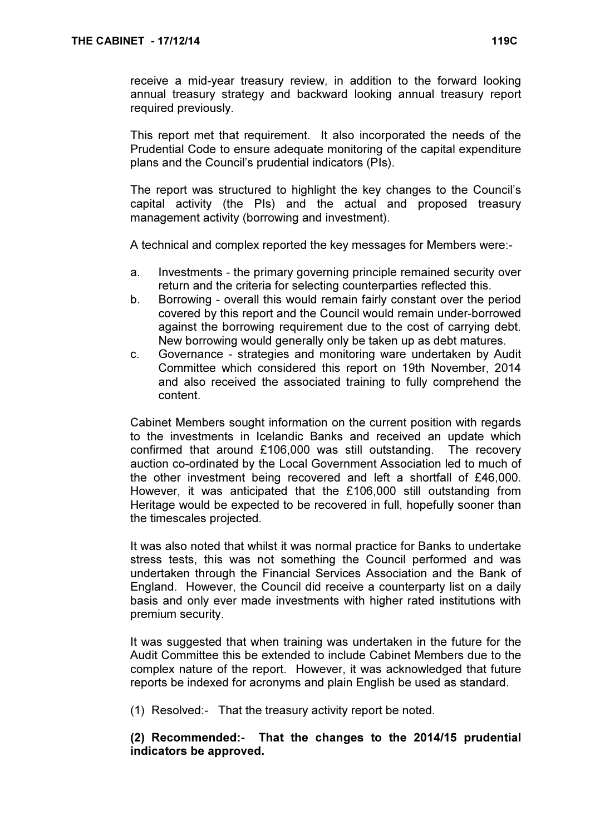receive a mid-year treasury review, in addition to the forward looking annual treasury strategy and backward looking annual treasury report required previously.

This report met that requirement. It also incorporated the needs of the Prudential Code to ensure adequate monitoring of the capital expenditure plans and the Council's prudential indicators (PIs).

The report was structured to highlight the key changes to the Council's capital activity (the PIs) and the actual and proposed treasury management activity (borrowing and investment).

A technical and complex reported the key messages for Members were:-

- a. Investments the primary governing principle remained security over return and the criteria for selecting counterparties reflected this.
- b. Borrowing overall this would remain fairly constant over the period covered by this report and the Council would remain under-borrowed against the borrowing requirement due to the cost of carrying debt. New borrowing would generally only be taken up as debt matures.
- c. Governance strategies and monitoring ware undertaken by Audit Committee which considered this report on 19th November, 2014 and also received the associated training to fully comprehend the content.

Cabinet Members sought information on the current position with regards to the investments in Icelandic Banks and received an update which confirmed that around £106,000 was still outstanding. The recovery auction co-ordinated by the Local Government Association led to much of the other investment being recovered and left a shortfall of £46,000. However, it was anticipated that the £106,000 still outstanding from Heritage would be expected to be recovered in full, hopefully sooner than the timescales projected.

It was also noted that whilst it was normal practice for Banks to undertake stress tests, this was not something the Council performed and was undertaken through the Financial Services Association and the Bank of England. However, the Council did receive a counterparty list on a daily basis and only ever made investments with higher rated institutions with premium security.

It was suggested that when training was undertaken in the future for the Audit Committee this be extended to include Cabinet Members due to the complex nature of the report. However, it was acknowledged that future reports be indexed for acronyms and plain English be used as standard.

(1) Resolved:- That the treasury activity report be noted.

(2) Recommended:- That the changes to the 2014/15 prudential indicators be approved.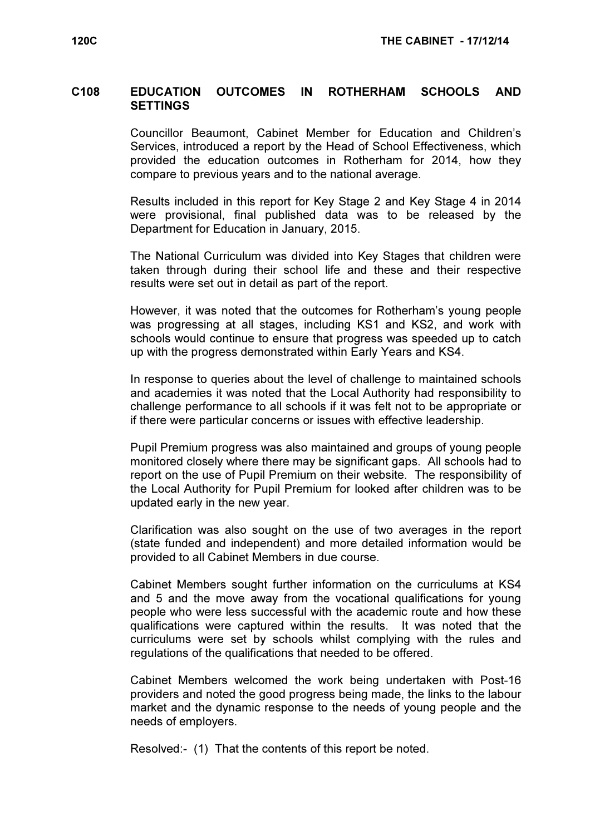### C108 EDUCATION OUTCOMES IN ROTHERHAM SCHOOLS AND **SETTINGS**

 Councillor Beaumont, Cabinet Member for Education and Children's Services, introduced a report by the Head of School Effectiveness, which provided the education outcomes in Rotherham for 2014, how they compare to previous years and to the national average.

Results included in this report for Key Stage 2 and Key Stage 4 in 2014 were provisional, final published data was to be released by the Department for Education in January, 2015.

The National Curriculum was divided into Key Stages that children were taken through during their school life and these and their respective results were set out in detail as part of the report.

However, it was noted that the outcomes for Rotherham's young people was progressing at all stages, including KS1 and KS2, and work with schools would continue to ensure that progress was speeded up to catch up with the progress demonstrated within Early Years and KS4.

In response to queries about the level of challenge to maintained schools and academies it was noted that the Local Authority had responsibility to challenge performance to all schools if it was felt not to be appropriate or if there were particular concerns or issues with effective leadership.

Pupil Premium progress was also maintained and groups of young people monitored closely where there may be significant gaps. All schools had to report on the use of Pupil Premium on their website. The responsibility of the Local Authority for Pupil Premium for looked after children was to be updated early in the new year.

Clarification was also sought on the use of two averages in the report (state funded and independent) and more detailed information would be provided to all Cabinet Members in due course.

Cabinet Members sought further information on the curriculums at KS4 and 5 and the move away from the vocational qualifications for young people who were less successful with the academic route and how these qualifications were captured within the results. It was noted that the curriculums were set by schools whilst complying with the rules and regulations of the qualifications that needed to be offered.

Cabinet Members welcomed the work being undertaken with Post-16 providers and noted the good progress being made, the links to the labour market and the dynamic response to the needs of young people and the needs of employers.

Resolved:- (1) That the contents of this report be noted.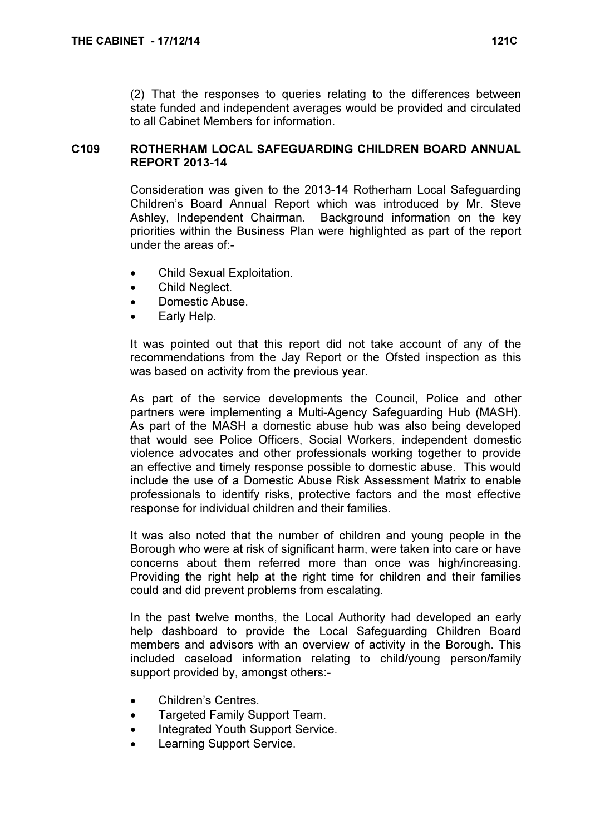(2) That the responses to queries relating to the differences between state funded and independent averages would be provided and circulated to all Cabinet Members for information.

### C109 ROTHERHAM LOCAL SAFEGUARDING CHILDREN BOARD ANNUAL REPORT 2013-14

 Consideration was given to the 2013-14 Rotherham Local Safeguarding Children's Board Annual Report which was introduced by Mr. Steve Ashley, Independent Chairman. Background information on the key priorities within the Business Plan were highlighted as part of the report under the areas of:-

- Child Sexual Exploitation.
- Child Neglect.
- Domestic Abuse.
- Early Help.

It was pointed out that this report did not take account of any of the recommendations from the Jay Report or the Ofsted inspection as this was based on activity from the previous year.

As part of the service developments the Council, Police and other partners were implementing a Multi-Agency Safeguarding Hub (MASH). As part of the MASH a domestic abuse hub was also being developed that would see Police Officers, Social Workers, independent domestic violence advocates and other professionals working together to provide an effective and timely response possible to domestic abuse. This would include the use of a Domestic Abuse Risk Assessment Matrix to enable professionals to identify risks, protective factors and the most effective response for individual children and their families.

It was also noted that the number of children and young people in the Borough who were at risk of significant harm, were taken into care or have concerns about them referred more than once was high/increasing. Providing the right help at the right time for children and their families could and did prevent problems from escalating.

In the past twelve months, the Local Authority had developed an early help dashboard to provide the Local Safeguarding Children Board members and advisors with an overview of activity in the Borough. This included caseload information relating to child/young person/family support provided by, amongst others:-

- Children's Centres.
- Targeted Family Support Team.
- Integrated Youth Support Service.
- Learning Support Service.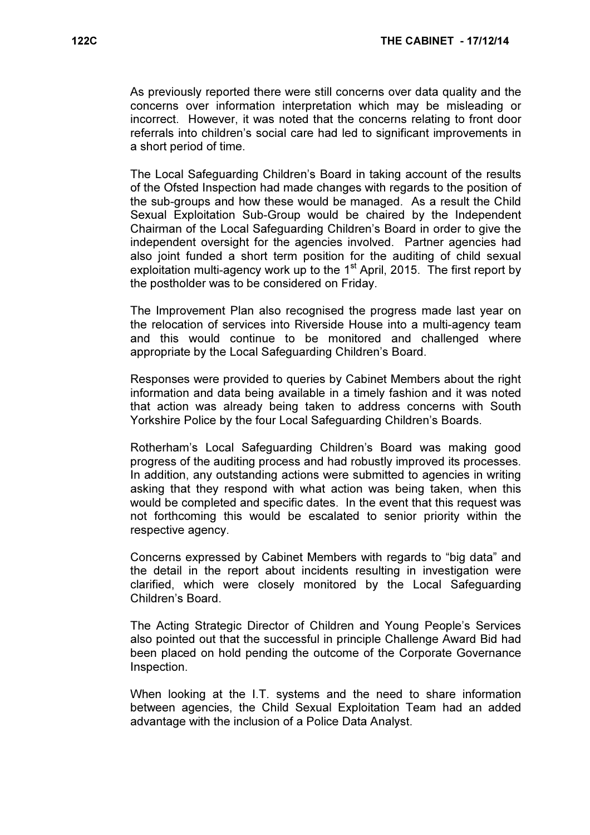As previously reported there were still concerns over data quality and the concerns over information interpretation which may be misleading or incorrect. However, it was noted that the concerns relating to front door referrals into children's social care had led to significant improvements in a short period of time.

The Local Safeguarding Children's Board in taking account of the results of the Ofsted Inspection had made changes with regards to the position of the sub-groups and how these would be managed. As a result the Child Sexual Exploitation Sub-Group would be chaired by the Independent Chairman of the Local Safeguarding Children's Board in order to give the independent oversight for the agencies involved. Partner agencies had also joint funded a short term position for the auditing of child sexual exploitation multi-agency work up to the  $1<sup>st</sup>$  April, 2015. The first report by the postholder was to be considered on Friday.

The Improvement Plan also recognised the progress made last year on the relocation of services into Riverside House into a multi-agency team and this would continue to be monitored and challenged where appropriate by the Local Safeguarding Children's Board.

Responses were provided to queries by Cabinet Members about the right information and data being available in a timely fashion and it was noted that action was already being taken to address concerns with South Yorkshire Police by the four Local Safeguarding Children's Boards.

Rotherham's Local Safeguarding Children's Board was making good progress of the auditing process and had robustly improved its processes. In addition, any outstanding actions were submitted to agencies in writing asking that they respond with what action was being taken, when this would be completed and specific dates. In the event that this request was not forthcoming this would be escalated to senior priority within the respective agency.

Concerns expressed by Cabinet Members with regards to "big data" and the detail in the report about incidents resulting in investigation were clarified, which were closely monitored by the Local Safeguarding Children's Board.

The Acting Strategic Director of Children and Young People's Services also pointed out that the successful in principle Challenge Award Bid had been placed on hold pending the outcome of the Corporate Governance Inspection.

When looking at the I.T. systems and the need to share information between agencies, the Child Sexual Exploitation Team had an added advantage with the inclusion of a Police Data Analyst.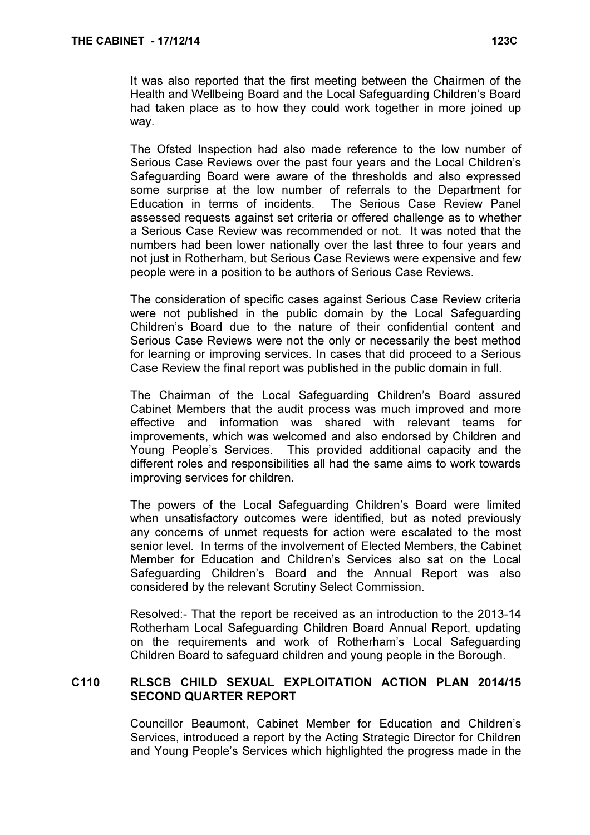It was also reported that the first meeting between the Chairmen of the Health and Wellbeing Board and the Local Safeguarding Children's Board had taken place as to how they could work together in more joined up way.

The Ofsted Inspection had also made reference to the low number of Serious Case Reviews over the past four years and the Local Children's Safeguarding Board were aware of the thresholds and also expressed some surprise at the low number of referrals to the Department for Education in terms of incidents. The Serious Case Review Panel assessed requests against set criteria or offered challenge as to whether a Serious Case Review was recommended or not. It was noted that the numbers had been lower nationally over the last three to four years and not just in Rotherham, but Serious Case Reviews were expensive and few people were in a position to be authors of Serious Case Reviews.

The consideration of specific cases against Serious Case Review criteria were not published in the public domain by the Local Safeguarding Children's Board due to the nature of their confidential content and Serious Case Reviews were not the only or necessarily the best method for learning or improving services. In cases that did proceed to a Serious Case Review the final report was published in the public domain in full.

The Chairman of the Local Safeguarding Children's Board assured Cabinet Members that the audit process was much improved and more effective and information was shared with relevant teams for improvements, which was welcomed and also endorsed by Children and Young People's Services. This provided additional capacity and the different roles and responsibilities all had the same aims to work towards improving services for children.

The powers of the Local Safeguarding Children's Board were limited when unsatisfactory outcomes were identified, but as noted previously any concerns of unmet requests for action were escalated to the most senior level. In terms of the involvement of Elected Members, the Cabinet Member for Education and Children's Services also sat on the Local Safeguarding Children's Board and the Annual Report was also considered by the relevant Scrutiny Select Commission.

Resolved:- That the report be received as an introduction to the 2013-14 Rotherham Local Safeguarding Children Board Annual Report, updating on the requirements and work of Rotherham's Local Safeguarding Children Board to safeguard children and young people in the Borough.

### C110 RLSCB CHILD SEXUAL EXPLOITATION ACTION PLAN 2014/15 SECOND QUARTER REPORT

 Councillor Beaumont, Cabinet Member for Education and Children's Services, introduced a report by the Acting Strategic Director for Children and Young People's Services which highlighted the progress made in the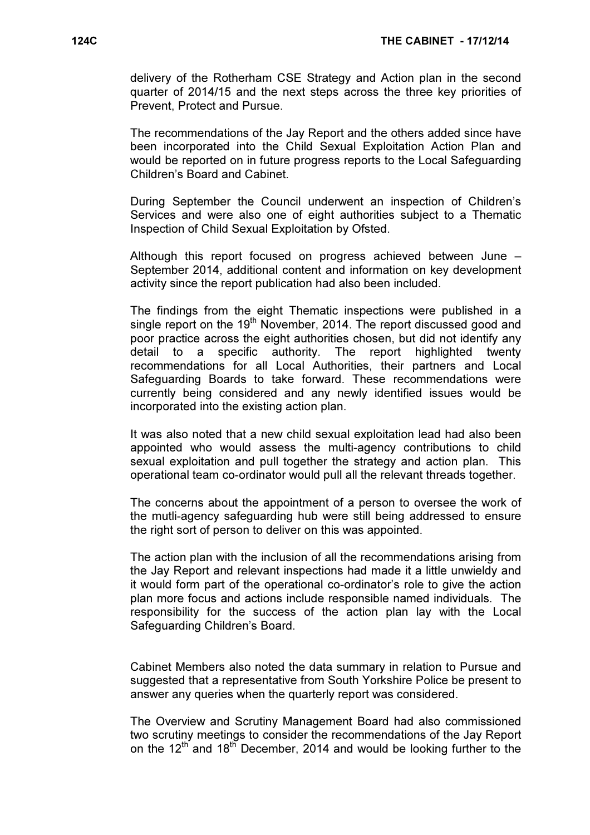delivery of the Rotherham CSE Strategy and Action plan in the second quarter of 2014/15 and the next steps across the three key priorities of Prevent, Protect and Pursue.

The recommendations of the Jay Report and the others added since have been incorporated into the Child Sexual Exploitation Action Plan and would be reported on in future progress reports to the Local Safeguarding Children's Board and Cabinet.

During September the Council underwent an inspection of Children's Services and were also one of eight authorities subject to a Thematic Inspection of Child Sexual Exploitation by Ofsted.

Although this report focused on progress achieved between June – September 2014, additional content and information on key development activity since the report publication had also been included.

The findings from the eight Thematic inspections were published in a single report on the  $19<sup>th</sup>$  November, 2014. The report discussed good and poor practice across the eight authorities chosen, but did not identify any detail to a specific authority. The report highlighted twenty recommendations for all Local Authorities, their partners and Local Safeguarding Boards to take forward. These recommendations were currently being considered and any newly identified issues would be incorporated into the existing action plan.

It was also noted that a new child sexual exploitation lead had also been appointed who would assess the multi-agency contributions to child sexual exploitation and pull together the strategy and action plan. This operational team co-ordinator would pull all the relevant threads together.

The concerns about the appointment of a person to oversee the work of the mutli-agency safeguarding hub were still being addressed to ensure the right sort of person to deliver on this was appointed.

The action plan with the inclusion of all the recommendations arising from the Jay Report and relevant inspections had made it a little unwieldy and it would form part of the operational co-ordinator's role to give the action plan more focus and actions include responsible named individuals. The responsibility for the success of the action plan lay with the Local Safeguarding Children's Board.

Cabinet Members also noted the data summary in relation to Pursue and suggested that a representative from South Yorkshire Police be present to answer any queries when the quarterly report was considered.

The Overview and Scrutiny Management Board had also commissioned two scrutiny meetings to consider the recommendations of the Jay Report on the  $12<sup>th</sup>$  and  $18<sup>th</sup>$  December, 2014 and would be looking further to the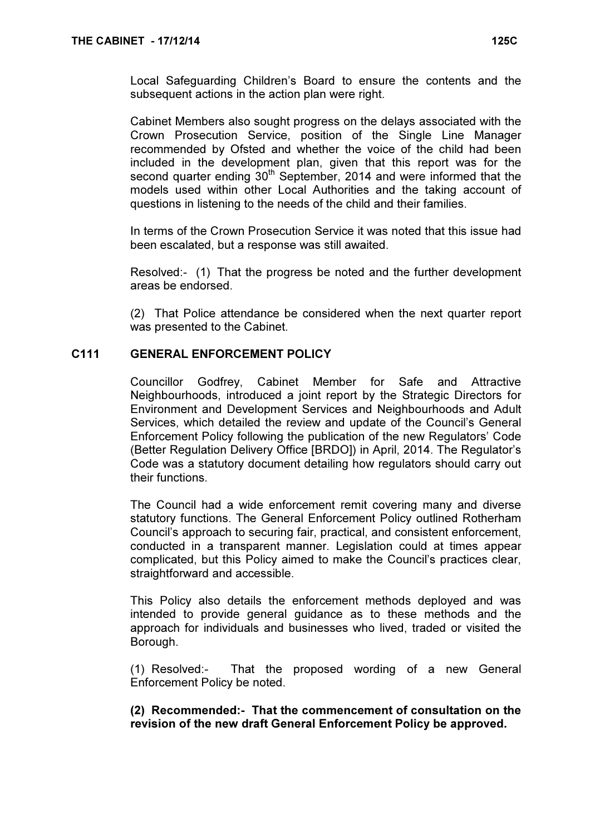Local Safeguarding Children's Board to ensure the contents and the subsequent actions in the action plan were right.

Cabinet Members also sought progress on the delays associated with the Crown Prosecution Service, position of the Single Line Manager recommended by Ofsted and whether the voice of the child had been included in the development plan, given that this report was for the second quarter ending  $30<sup>th</sup>$  September, 2014 and were informed that the models used within other Local Authorities and the taking account of questions in listening to the needs of the child and their families.

In terms of the Crown Prosecution Service it was noted that this issue had been escalated, but a response was still awaited.

Resolved:- (1) That the progress be noted and the further development areas be endorsed.

(2) That Police attendance be considered when the next quarter report was presented to the Cabinet.

# C111 GENERAL ENFORCEMENT POLICY

 Councillor Godfrey, Cabinet Member for Safe and Attractive Neighbourhoods, introduced a joint report by the Strategic Directors for Environment and Development Services and Neighbourhoods and Adult Services, which detailed the review and update of the Council's General Enforcement Policy following the publication of the new Regulators' Code (Better Regulation Delivery Office [BRDO]) in April, 2014. The Regulator's Code was a statutory document detailing how regulators should carry out their functions.

The Council had a wide enforcement remit covering many and diverse statutory functions. The General Enforcement Policy outlined Rotherham Council's approach to securing fair, practical, and consistent enforcement, conducted in a transparent manner. Legislation could at times appear complicated, but this Policy aimed to make the Council's practices clear, straightforward and accessible.

This Policy also details the enforcement methods deployed and was intended to provide general guidance as to these methods and the approach for individuals and businesses who lived, traded or visited the Borough.

(1) Resolved:- That the proposed wording of a new General Enforcement Policy be noted.

(2) Recommended:- That the commencement of consultation on the revision of the new draft General Enforcement Policy be approved.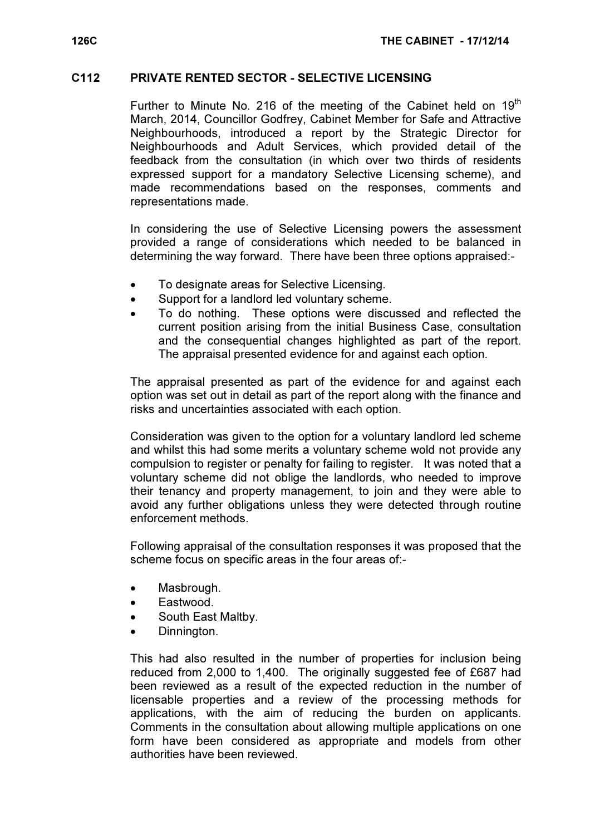#### C112 PRIVATE RENTED SECTOR - SELECTIVE LICENSING

Further to Minute No. 216 of the meeting of the Cabinet held on  $19<sup>th</sup>$ March, 2014, Councillor Godfrey, Cabinet Member for Safe and Attractive Neighbourhoods, introduced a report by the Strategic Director for Neighbourhoods and Adult Services, which provided detail of the feedback from the consultation (in which over two thirds of residents expressed support for a mandatory Selective Licensing scheme), and made recommendations based on the responses, comments and representations made.

In considering the use of Selective Licensing powers the assessment provided a range of considerations which needed to be balanced in determining the way forward. There have been three options appraised:-

- To designate areas for Selective Licensing.
- Support for a landlord led voluntary scheme.
- To do nothing. These options were discussed and reflected the current position arising from the initial Business Case, consultation and the consequential changes highlighted as part of the report. The appraisal presented evidence for and against each option.

The appraisal presented as part of the evidence for and against each option was set out in detail as part of the report along with the finance and risks and uncertainties associated with each option.

Consideration was given to the option for a voluntary landlord led scheme and whilst this had some merits a voluntary scheme wold not provide any compulsion to register or penalty for failing to register. It was noted that a voluntary scheme did not oblige the landlords, who needed to improve their tenancy and property management, to join and they were able to avoid any further obligations unless they were detected through routine enforcement methods.

Following appraisal of the consultation responses it was proposed that the scheme focus on specific areas in the four areas of:-

- Masbrough.
- Eastwood.
- South East Maltby.
- Dinnington.

This had also resulted in the number of properties for inclusion being reduced from 2,000 to 1,400. The originally suggested fee of £687 had been reviewed as a result of the expected reduction in the number of licensable properties and a review of the processing methods for applications, with the aim of reducing the burden on applicants. Comments in the consultation about allowing multiple applications on one form have been considered as appropriate and models from other authorities have been reviewed.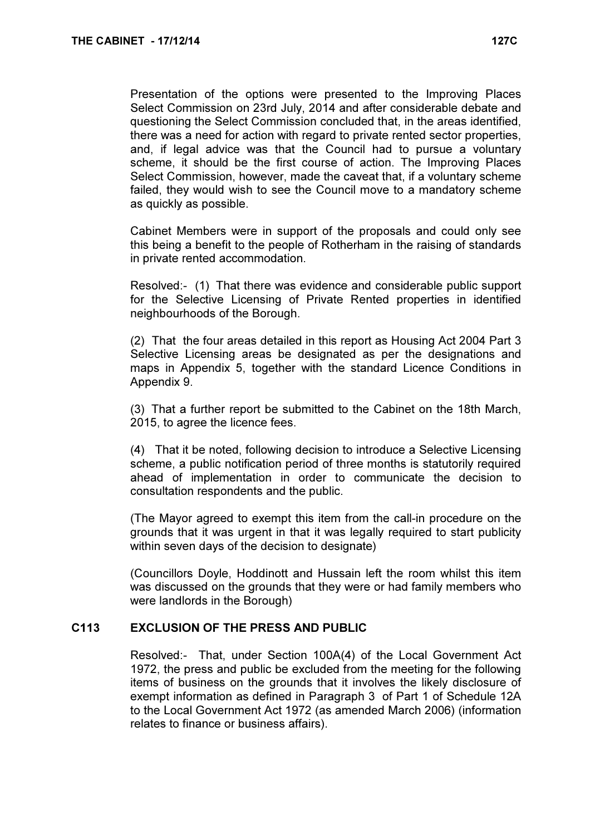Presentation of the options were presented to the Improving Places Select Commission on 23rd July, 2014 and after considerable debate and questioning the Select Commission concluded that, in the areas identified, there was a need for action with regard to private rented sector properties, and, if legal advice was that the Council had to pursue a voluntary scheme, it should be the first course of action. The Improving Places Select Commission, however, made the caveat that, if a voluntary scheme failed, they would wish to see the Council move to a mandatory scheme as quickly as possible.

Cabinet Members were in support of the proposals and could only see this being a benefit to the people of Rotherham in the raising of standards in private rented accommodation.

Resolved:- (1) That there was evidence and considerable public support for the Selective Licensing of Private Rented properties in identified neighbourhoods of the Borough.

(2) That the four areas detailed in this report as Housing Act 2004 Part 3 Selective Licensing areas be designated as per the designations and maps in Appendix 5, together with the standard Licence Conditions in Appendix 9.

(3) That a further report be submitted to the Cabinet on the 18th March, 2015, to agree the licence fees.

(4) That it be noted, following decision to introduce a Selective Licensing scheme, a public notification period of three months is statutorily required ahead of implementation in order to communicate the decision to consultation respondents and the public.

(The Mayor agreed to exempt this item from the call-in procedure on the grounds that it was urgent in that it was legally required to start publicity within seven days of the decision to designate)

(Councillors Doyle, Hoddinott and Hussain left the room whilst this item was discussed on the grounds that they were or had family members who were landlords in the Borough)

# C113 EXCLUSION OF THE PRESS AND PUBLIC

 Resolved:- That, under Section 100A(4) of the Local Government Act 1972, the press and public be excluded from the meeting for the following items of business on the grounds that it involves the likely disclosure of exempt information as defined in Paragraph 3 of Part 1 of Schedule 12A to the Local Government Act 1972 (as amended March 2006) (information relates to finance or business affairs).